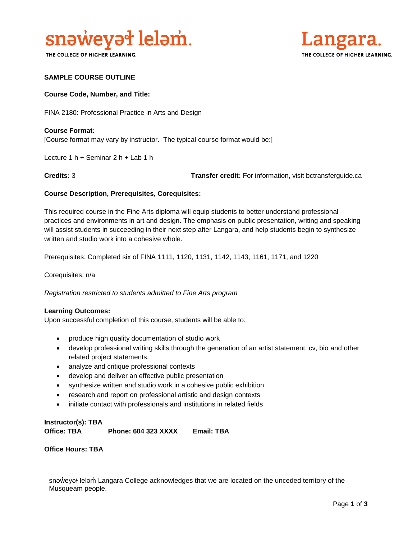

THE COLLEGE OF HIGHER LEARNING.



### **SAMPLE COURSE OUTLINE**

### **Course Code, Number, and Title:**

FINA 2180: Professional Practice in Arts and Design

### **Course Format:** [Course format may vary by instructor. The typical course format would be:]

Lecture 1 h + Seminar 2 h + Lab 1 h

**Credits:** 3 **Transfer credit:** For information, visit bctransferguide.ca

### **Course Description, Prerequisites, Corequisites:**

This required course in the Fine Arts diploma will equip students to better understand professional practices and environments in art and design. The emphasis on public presentation, writing and speaking will assist students in succeeding in their next step after Langara, and help students begin to synthesize written and studio work into a cohesive whole.

Prerequisites: Completed six of FINA 1111, 1120, 1131, 1142, 1143, 1161, 1171, and 1220

Corequisites: n/a

*Registration restricted to students admitted to Fine Arts program* 

#### **Learning Outcomes:**

Upon successful completion of this course, students will be able to:

- produce high quality documentation of studio work
- develop professional writing skills through the generation of an artist statement, cv, bio and other related project statements.
- analyze and critique professional contexts
- develop and deliver an effective public presentation
- synthesize written and studio work in a cohesive public exhibition
- research and report on professional artistic and design contexts
- initiate contact with professionals and institutions in related fields

### **Instructor(s): TBA Office: TBA Phone: 604 323 XXXX Email: TBA**

**Office Hours: TBA** 

snəweyał leləm Langara College acknowledges that we are located on the unceded territory of the Musqueam people.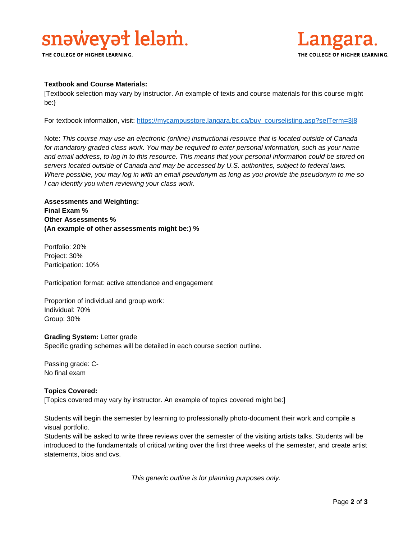# snaweyat lelam.

THE COLLEGE OF HIGHER LEARNING.



### **Textbook and Course Materials:**

[Textbook selection may vary by instructor. An example of texts and course materials for this course might be:}

For textbook information, visit: [https://mycampusstore.langara.bc.ca/buy\\_courselisting.asp?selTerm=3|8](https://mycampusstore.langara.bc.ca/buy_courselisting.asp?selTerm=3|8)

Note: *This course may use an electronic (online) instructional resource that is located outside of Canada*  for mandatory graded class work. You may be required to enter personal information, such as your name *and email address, to log in to this resource. This means that your personal information could be stored on servers located outside of Canada and may be accessed by U.S. authorities, subject to federal laws. Where possible, you may log in with an email pseudonym as long as you provide the pseudonym to me so I can identify you when reviewing your class work.* 

**Assessments and Weighting: Final Exam % Other Assessments % (An example of other assessments might be:) %**

Portfolio: 20% Project: 30% Participation: 10%

Participation format: active attendance and engagement

Proportion of individual and group work: Individual: 70% Group: 30%

### **Grading System:** Letter grade

Specific grading schemes will be detailed in each course section outline.

Passing grade: C-No final exam

### **Topics Covered:**

[Topics covered may vary by instructor. An example of topics covered might be:]

Students will begin the semester by learning to professionally photo-document their work and compile a visual portfolio.

Students will be asked to write three reviews over the semester of the visiting artists talks. Students will be introduced to the fundamentals of critical writing over the first three weeks of the semester, and create artist statements, bios and cvs.

*This generic outline is for planning purposes only.*